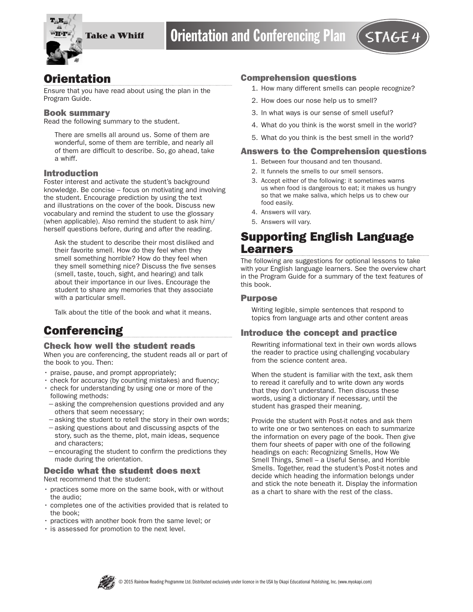

## **Orientation**

Ensure that you have read about using the plan in the Program Guide.

## Book summary

Read the following summary to the student.

There are smells all around us. Some of them are wonderful, some of them are terrible, and nearly all of them are difficult to describe. So, go ahead, take a whiff.

## Introduction

Foster interest and activate the student's background knowledge. Be concise – focus on motivating and involving the student. Encourage prediction by using the text and illustrations on the cover of the book. Discuss new vocabulary and remind the student to use the glossary (when applicable). Also remind the student to ask him/ herself questions before, during and after the reading.

Ask the student to describe their most disliked and their favorite smell. How do they feel when they smell something horrible? How do they feel when they smell something nice? Discuss the five senses (smell, taste, touch, sight, and hearing) and talk about their importance in our lives. Encourage the student to share any memories that they associate with a particular smell.

Talk about the title of the book and what it means.

# **Conferencing**

### Check how well the student reads

When you are conferencing, the student reads all or part of the book to you. Then:

- praise, pause, and prompt appropriately;
- check for accuracy (by counting mistakes) and fluency;
- check for understanding by using one or more of the following methods:
- −asking the comprehension questions provided and any others that seem necessary;
- −asking the student to retell the story in their own words;
- −asking questions about and discussing aspcts of the story, such as the theme, plot, main ideas, sequence and characters;
- −encouraging the student to confirm the predictions they made during the orientation.

#### Decide what the student does next Next recommend that the student:

- practices some more on the same book, with or without the audio;
- completes one of the activities provided that is related to the book;
- practices with another book from the same level; or
- is assessed for promotion to the next level.

## Comprehension questions

- 1. How many different smells can people recognize?
- 2. How does our nose help us to smell?
- 3. In what ways is our sense of smell useful?
- 4. What do you think is the worst smell in the world?
- 5. What do you think is the best smell in the world?

#### Answers to the Comprehension questions

- 1. Between four thousand and ten thousand.
- 2. It funnels the smells to our smell sensors.
- 3. Accept either of the following: it sometimes warns us when food is dangerous to eat; it makes us hungry so that we make saliva, which helps us to chew our food easily.
- 4. Answers will vary.
- 5. Answers will vary.

## Supporting English Language Learners

The following are suggestions for optional lessons to take with your English language learners. See the overview chart in the Program Guide for a summary of the text features of this book.

### Purpose

Writing legible, simple sentences that respond to topics from language arts and other content areas

### Introduce the concept and practice

Rewriting informational text in their own words allows the reader to practice using challenging vocabulary from the science content area.

When the student is familiar with the text, ask them to reread it carefully and to write down any words that they don't understand. Then discuss these words, using a dictionary if necessary, until the student has grasped their meaning.

Provide the student with Post-it notes and ask them to write one or two sentences on each to summarize the information on every page of the book. Then give them four sheets of paper with one of the following headings on each: Recognizing Smells, How We Smell Things, Smell – a Useful Sense, and Horrible Smells. Together, read the student's Post-it notes and decide which heading the information belongs under and stick the note beneath it. Display the information as a chart to share with the rest of the class.

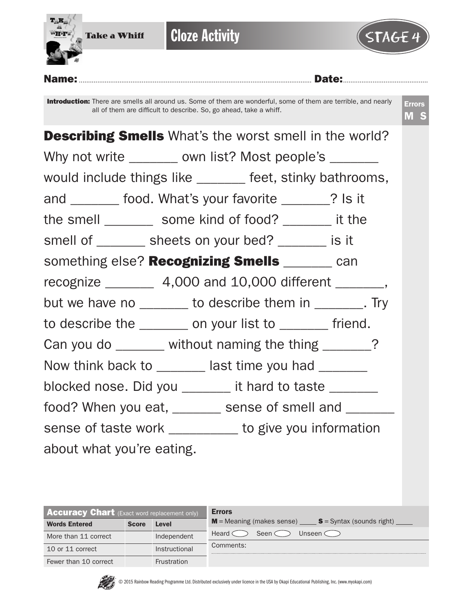

| <b>Accuracy Chart</b> (Exact word replacement only) |              |                    | <b>Errors</b>                                                                    |  |  |  |  |  |
|-----------------------------------------------------|--------------|--------------------|----------------------------------------------------------------------------------|--|--|--|--|--|
| <b>Words Entered</b>                                | <b>Score</b> | Level              | $M$ = Meaning (makes sense) $S =$ Syntax (sounds right) $\overline{\phantom{a}}$ |  |  |  |  |  |
| More than 11 correct                                |              | Independent        | Seen $\subset$<br>Unseen $\subset$<br>Heard $\subset$                            |  |  |  |  |  |
| 10 or 11 correct                                    |              | Instructional      | Comments:                                                                        |  |  |  |  |  |
| Fewer than 10 correct                               |              | <b>Frustration</b> |                                                                                  |  |  |  |  |  |



© 2015 Rainbow Reading Programme Ltd. Distributed exclusively under licence in the USA by Okapi Educational Publishing, Inc. (www.myokapi.com)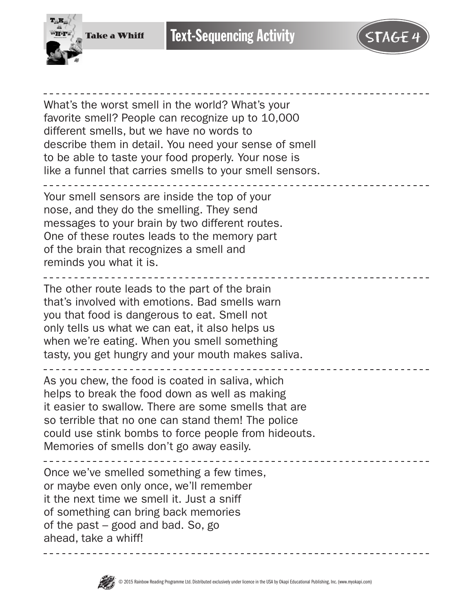



What's the worst smell in the world? What's your favorite smell? People can recognize up to 10,000 different smells, but we have no words to describe them in detail. You need your sense of smell to be able to taste your food properly. Your nose is like a funnel that carries smells to your smell sensors. Your smell sensors are inside the top of your nose, and they do the smelling. They send messages to your brain by two different routes. One of these routes leads to the memory part of the brain that recognizes a smell and reminds you what it is. The other route leads to the part of the brain that's involved with emotions. Bad smells warn you that food is dangerous to eat. Smell not only tells us what we can eat, it also helps us when we're eating. When you smell something tasty, you get hungry and your mouth makes saliva. As you chew, the food is coated in saliva, which helps to break the food down as well as making it easier to swallow. There are some smells that are so terrible that no one can stand them! The police could use stink bombs to force people from hideouts. Memories of smells don't go away easily.  $- - - - - - -$ Once we've smelled something a few times, or maybe even only once, we'll remember it the next time we smell it. Just a sniff of something can bring back memories of the past – good and bad. So, go ahead, take a whiff!

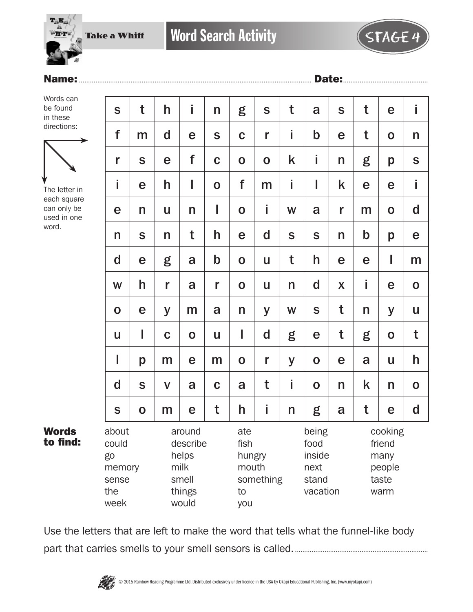

## Name:.............................................................................................................................. Date:..............................................

Words can be found in these directions:



The letter in each square can only be used in one word.

Words to find:

| S                                                      | t | h            | İ                                                               | n           | g                                           | S           | t | a                                                    | $\mathsf{S}$ | t           | e                                                    | Ť             |
|--------------------------------------------------------|---|--------------|-----------------------------------------------------------------|-------------|---------------------------------------------|-------------|---|------------------------------------------------------|--------------|-------------|------------------------------------------------------|---------------|
| f                                                      | m | $\mathbf d$  | e                                                               | S           | $\mathbf C$                                 | r           | i | $\mathbf b$                                          | e            | t           | $\mathbf 0$                                          | n             |
| r                                                      | S | e            | f                                                               | $\mathbf C$ | $\mathbf 0$                                 | $\mathbf O$ | k | İ                                                    | n            | g           | p                                                    | ${\mathsf S}$ |
| İ                                                      | e | h            | I                                                               | $\mathbf 0$ | f                                           | m           | Î | I                                                    | k            | e           | e                                                    | İ             |
| e                                                      | n | U            | n                                                               | I           | $\mathbf 0$                                 | İ           | W | a                                                    | r            | m           | $\mathbf O$                                          | $\mathbf d$   |
| n                                                      | S | n            | t                                                               | h           | e                                           | $\mathbf d$ | S | S                                                    | n            | $\mathbf b$ | p                                                    | e             |
| d                                                      | e | g            | a                                                               | $\mathbf b$ | $\mathbf 0$                                 | U           | t | h                                                    | e            | e           | I                                                    | m             |
| W                                                      | h | r            | a                                                               | r           | $\mathbf 0$                                 | U           | n | $\mathbf d$                                          | X            | İ           | e                                                    | $\mathbf O$   |
| $\mathbf 0$                                            | e | y            | m                                                               | a           | n                                           | y           | W | S                                                    | t            | n           | У                                                    | U             |
| U                                                      | I | $\mathbf C$  | $\mathbf 0$                                                     | U           | I                                           | d           | g | e                                                    | t            | g           | $\mathbf O$                                          | t             |
| I                                                      | p | m            | e                                                               | m           | $\mathbf 0$                                 | r           | y | $\mathbf O$                                          | e            | a           | U                                                    | h             |
| d                                                      | S | $\mathsf{V}$ | a                                                               | $\mathbf C$ | a                                           | t           | i | $\mathbf 0$                                          | $\mathsf{n}$ | k           | n                                                    | $\mathbf 0$   |
| S                                                      | O | m            | e                                                               | t           | h                                           | İ           | n | g                                                    | a            | t           | e                                                    | $\mathbf d$   |
| about<br>could<br>go<br>memory<br>sense<br>the<br>week |   |              | around<br>describe<br>helps<br>milk<br>smell<br>things<br>would |             | ate<br>fish<br>hungry<br>mouth<br>to<br>you | something   |   | being<br>food<br>inside<br>next<br>stand<br>vacation |              |             | cooking<br>friend<br>many<br>people<br>taste<br>warm |               |

Use the letters that are left to make the word that tells what the funnel-like body part that carries smells to your smell sensors is called.........................................................................

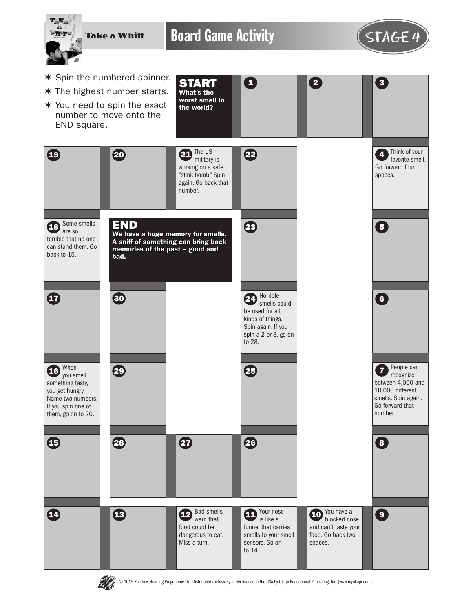

Board Game Activity **STAGE 4** 

0

START What's the worst smell in



 $\begin{array}{|c|c|c|c|}\n\hline\n2 & 3\n\end{array}$ 

- \* Spin the numbered spinner.
- $*$  The highest number starts.
- $*$  You need to spin the exact number to move onto the END square.





 $\bigoplus$ 

 $\boldsymbol{\Phi}$